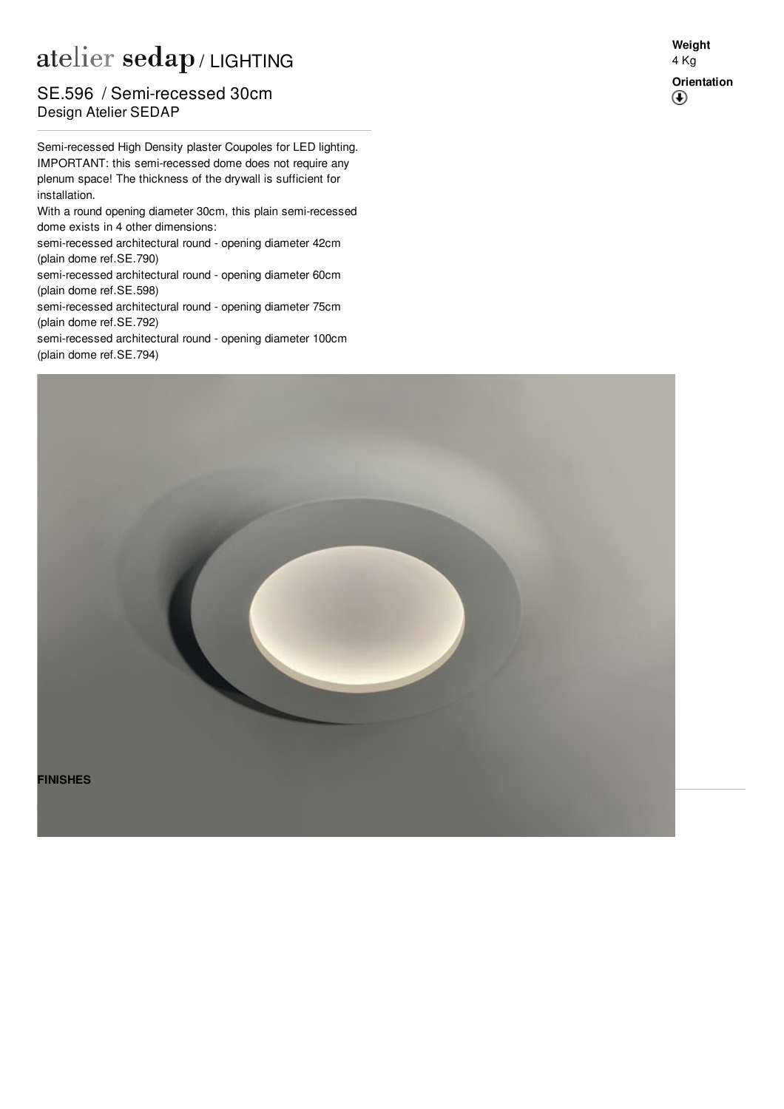## atelier sedap / LIGHTING

**Design Atelier SEDAP** SE.596 / Semi-recessed 30cm

Semi-recessed High Density plaster Coupoles for LED lighting. IMPORTANT: this semi-recessed dome does not require any plenum space! The thickness of the drywall is sufficient for installation.

With a round opening diameter 30cm, this plain semi-recessed dome exists in 4 other dimensions:

semi-recessed architectural round - opening diameter 42cm (plain dome ref[.SE.790](http://www.sedap.com/lighting/fr/produits/view/SE.790))

semi-recessed architectural round - opening diameter 60cm (plain dome ref[.SE.598](http://www.sedap.com/lighting/fr/produits/view/SE.598))

semi-recessed architectural round - opening diameter 75cm (plain dome ref[.SE.792](http://www.sedap.com/lighting/fr/produits/view/SE.792))

semi-recessed architectural round - opening diameter 100cm (plain dome ref[.SE.794](http://www.sedap.com/lighting/fr/produits/view/SE.794))





**Weight** 4 Kg **Orientation** $\bigcirc$